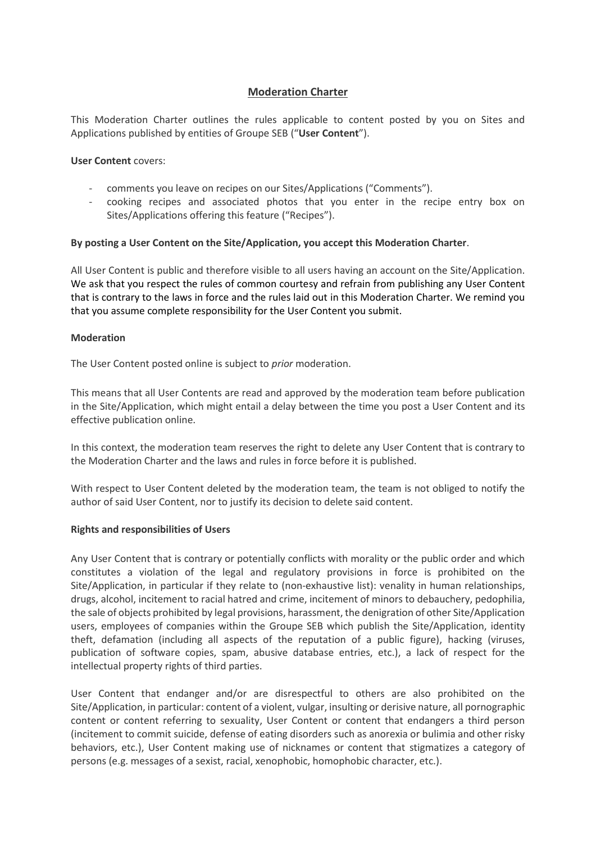# **Moderation Charter**

This Moderation Charter outlines the rules applicable to content posted by you on Sites and Applications published by entities of Groupe SEB ("**User Content**").

#### **User Content** covers:

- comments you leave on recipes on our Sites/Applications ("Comments").
- cooking recipes and associated photos that you enter in the recipe entry box on Sites/Applications offering this feature ("Recipes").

## **By posting a User Content on the Site/Application, you accept this Moderation Charter**.

All User Content is public and therefore visible to all users having an account on the Site/Application. We ask that you respect the rules of common courtesy and refrain from publishing any User Content that is contrary to the laws in force and the rules laid out in this Moderation Charter. We remind you that you assume complete responsibility for the User Content you submit.

## **Moderation**

The User Content posted online is subject to *prior* moderation.

This means that all User Contents are read and approved by the moderation team before publication in the Site/Application, which might entail a delay between the time you post a User Content and its effective publication online.

In this context, the moderation team reserves the right to delete any User Content that is contrary to the Moderation Charter and the laws and rules in force before it is published.

With respect to User Content deleted by the moderation team, the team is not obliged to notify the author of said User Content, nor to justify its decision to delete said content.

## **Rights and responsibilities of Users**

Any User Content that is contrary or potentially conflicts with morality or the public order and which constitutes a violation of the legal and regulatory provisions in force is prohibited on the Site/Application, in particular if they relate to (non-exhaustive list): venality in human relationships, drugs, alcohol, incitement to racial hatred and crime, incitement of minors to debauchery, pedophilia, the sale of objects prohibited by legal provisions, harassment, the denigration of other Site/Application users, employees of companies within the Groupe SEB which publish the Site/Application, identity theft, defamation (including all aspects of the reputation of a public figure), hacking (viruses, publication of software copies, spam, abusive database entries, etc.), a lack of respect for the intellectual property rights of third parties.

User Content that endanger and/or are disrespectful to others are also prohibited on the Site/Application, in particular: content of a violent, vulgar, insulting or derisive nature, all pornographic content or content referring to sexuality, User Content or content that endangers a third person (incitement to commit suicide, defense of eating disorders such as anorexia or bulimia and other risky behaviors, etc.), User Content making use of nicknames or content that stigmatizes a category of persons (e.g. messages of a sexist, racial, xenophobic, homophobic character, etc.).